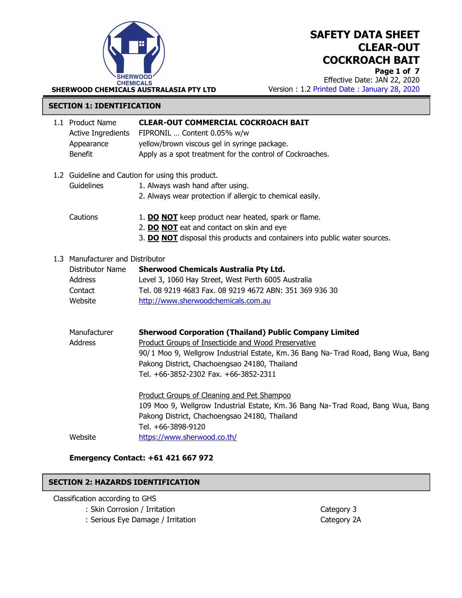

Page 1 of 7 Effective Date: JAN 22, 2020 Version : 1.2 Printed Date : January 28, 2020

### SECTION 1: IDENTIFICATION

|                                                                                                     | 1.1 Product Name<br><b>Active Ingredients</b><br>Appearance<br><b>Benefit</b>                | <b>CLEAR-OUT COMMERCIAL COCKROACH BAIT</b><br>FIPRONIL  Content 0.05% w/w<br>yellow/brown viscous gel in syringe package.<br>Apply as a spot treatment for the control of Cockroaches.                                                                                                             |
|-----------------------------------------------------------------------------------------------------|----------------------------------------------------------------------------------------------|----------------------------------------------------------------------------------------------------------------------------------------------------------------------------------------------------------------------------------------------------------------------------------------------------|
| 1.2 Guideline and Caution for using this product.<br>Guidelines<br>1. Always wash hand after using. |                                                                                              | 2. Always wear protection if allergic to chemical easily.                                                                                                                                                                                                                                          |
|                                                                                                     | Cautions                                                                                     | 1. DO NOT keep product near heated, spark or flame.<br>2. DO NOT eat and contact on skin and eye<br>3. DO NOT disposal this products and containers into public water sources.                                                                                                                     |
|                                                                                                     | 1.3 Manufacturer and Distributor<br>Distributor Name<br><b>Address</b><br>Contact<br>Website | <b>Sherwood Chemicals Australia Pty Ltd.</b><br>Level 3, 1060 Hay Street, West Perth 6005 Australia<br>Tel. 08 9219 4683 Fax. 08 9219 4672 ABN: 351 369 936 30<br>http://www.sherwoodchemicals.com.au                                                                                              |
|                                                                                                     | Manufacturer<br><b>Address</b>                                                               | <b>Sherwood Corporation (Thailand) Public Company Limited</b><br>Product Groups of Insecticide and Wood Preservative<br>90/1 Moo 9, Wellgrow Industrial Estate, Km. 36 Bang Na-Trad Road, Bang Wua, Bang<br>Pakong District, Chachoengsao 24180, Thailand<br>Tel. +66-3852-2302 Fax. +66-3852-2311 |
|                                                                                                     | Website                                                                                      | Product Groups of Cleaning and Pet Shampoo<br>109 Moo 9, Wellgrow Industrial Estate, Km. 36 Bang Na-Trad Road, Bang Wua, Bang<br>Pakong District, Chachoengsao 24180, Thailand<br>Tel. +66-3898-9120<br>https://www.sherwood.co.th/                                                                |

## Emergency Contact: +61 421 667 972

### SECTION 2: HAZARDS IDENTIFICATION

Classification according to GHS

- : Skin Corrosion / Irritation Category 3
	- : Serious Eye Damage / Irritation Category 2A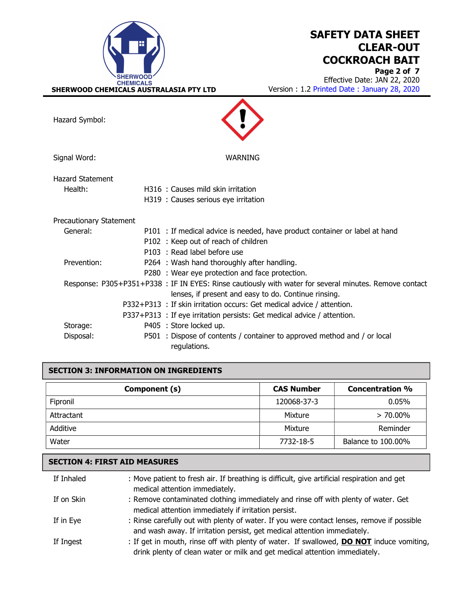

Page 2 of 7 Effective Date: JAN 22, 2020 Version : 1.2 Printed Date : January 28, 2020

Hazard Symbol:

Signal Word: WARNING

| Hazard Statement |                                    |
|------------------|------------------------------------|
| Health:          | H316 : Causes mild skin irritation |
|                  |                                    |

| Precautionary Statement |  |
|-------------------------|--|
|                         |  |

| General:    | P101 : If medical advice is needed, have product container or label at hand                            |
|-------------|--------------------------------------------------------------------------------------------------------|
|             | P102 : Keep out of reach of children                                                                   |
|             | P103 : Read label before use                                                                           |
| Prevention: | P264 : Wash hand thoroughly after handling.                                                            |
|             | P280 : Wear eye protection and face protection.                                                        |
|             | Response: P305+P351+P338 : IF IN EYES: Rinse cautiously with water for several minutes. Remove contact |
|             | lenses, if present and easy to do. Continue rinsing.                                                   |
|             | P332+P313 : If skin irritation occurs: Get medical advice / attention.                                 |
|             | P337+P313 : If eye irritation persists: Get medical advice / attention.                                |
| Storage:    | P405 : Store locked up.                                                                                |
| Disposal:   | P501 : Dispose of contents / container to approved method and / or local<br>regulations.               |

## SECTION 3: INFORMATION ON INGREDIENTS

| Component (s) | <b>CAS Number</b> | <b>Concentration %</b> |
|---------------|-------------------|------------------------|
| Fipronil      | 120068-37-3       | $0.05\%$               |
| Attractant    | Mixture           | $> 70.00\%$            |
| Additive      | Mixture           | Reminder               |
| Water         | 7732-18-5         | Balance to 100.00%     |

## SECTION 4: FIRST AID MEASURES

| If Inhaled | : Move patient to fresh air. If breathing is difficult, give artificial respiration and get<br>medical attention immediately. |
|------------|-------------------------------------------------------------------------------------------------------------------------------|
| If on Skin | : Remove contaminated clothing immediately and rinse off with plenty of water. Get                                            |
|            | medical attention immediately if irritation persist.                                                                          |
| If in Eye  | : Rinse carefully out with plenty of water. If you were contact lenses, remove if possible                                    |
|            | and wash away. If irritation persist, get medical attention immediately.                                                      |
| If Ingest  | : If get in mouth, rinse off with plenty of water. If swallowed, <b>DO NOT</b> induce vomiting,                               |
|            | drink plenty of clean water or milk and get medical attention immediately.                                                    |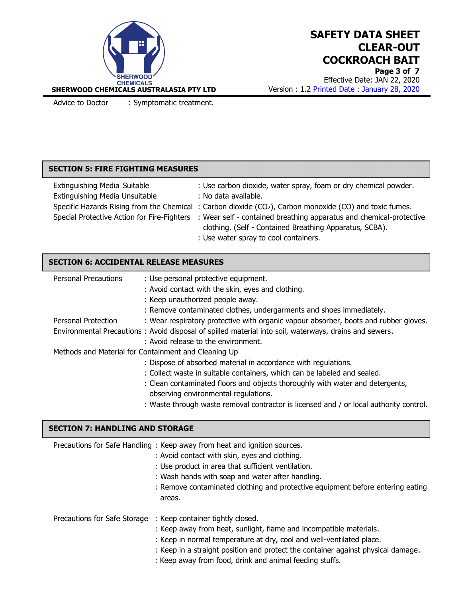

Page 3 of 7 Effective Date: JAN 22, 2020 Version : 1.2 Printed Date : January 28, 2020

Advice to Doctor : Symptomatic treatment.

### SECTION 5: FIRE FIGHTING MEASURES

| Extinguishing Media Suitable   | : Use carbon dioxide, water spray, foam or dry chemical powder.                                                 |
|--------------------------------|-----------------------------------------------------------------------------------------------------------------|
| Extinguishing Media Unsuitable | : No data available.                                                                                            |
|                                | Specific Hazards Rising from the Chemical : Carbon dioxide $(CO2)$ , Carbon monoxide $(CO)$ and toxic fumes.    |
|                                | Special Protective Action for Fire-Fighters : Wear self - contained breathing apparatus and chemical-protective |
|                                | clothing. (Self - Contained Breathing Apparatus, SCBA).                                                         |
|                                | : Use water spray to cool containers.                                                                           |

## SECTION 6: ACCIDENTAL RELEASE MEASURES

| <b>Personal Precautions</b> | : Use personal protective equipment.                                                                   |
|-----------------------------|--------------------------------------------------------------------------------------------------------|
|                             | : Avoid contact with the skin, eyes and clothing.                                                      |
|                             | : Keep unauthorized people away.                                                                       |
|                             | : Remove contaminated clothes, undergarments and shoes immediately.                                    |
| Personal Protection         | : Wear respiratory protective with organic vapour absorber, boots and rubber gloves.                   |
|                             | Environmental Precautions: Avoid disposal of spilled material into soil, waterways, drains and sewers. |
|                             | : Avoid release to the environment.                                                                    |
|                             | Methods and Material for Containment and Cleaning Up                                                   |
|                             | : Dispose of absorbed material in accordance with regulations.                                         |
|                             | : Collect waste in suitable containers, which can be labeled and sealed.                               |
|                             | : Clean contaminated floors and objects thoroughly with water and detergents,                          |
|                             | observing environmental regulations.                                                                   |
|                             | : Waste through waste removal contractor is licensed and / or local authority control.                 |

#### SECTION 7: HANDLING AND STORAGE

| Precautions for Safe Handling: Keep away from heat and ignition sources.<br>: Avoid contact with skin, eyes and clothing.<br>: Use product in area that sufficient ventilation.<br>: Wash hands with soap and water after handling.<br>: Remove contaminated clothing and protective equipment before entering eating<br>areas.                            |
|------------------------------------------------------------------------------------------------------------------------------------------------------------------------------------------------------------------------------------------------------------------------------------------------------------------------------------------------------------|
| Precautions for Safe Storage : Keep container tightly closed.<br>: Keep away from heat, sunlight, flame and incompatible materials.<br>: Keep in normal temperature at dry, cool and well-ventilated place.<br>: Keep in a straight position and protect the container against physical damage.<br>: Keep away from food, drink and animal feeding stuffs. |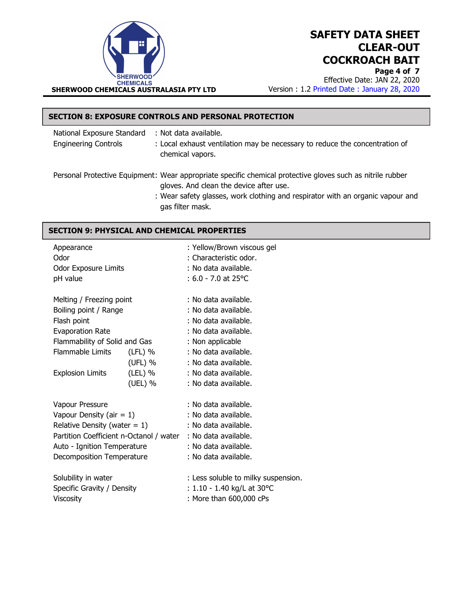

Page 4 of 7 Effective Date: JAN 22, 2020 Version : 1.2 Printed Date : January 28, 2020

## SECTION 8: EXPOSURE CONTROLS AND PERSONAL PROTECTION

| National Exposure Standard<br><b>Engineering Controls</b> | : Not data available.<br>: Local exhaust ventilation may be necessary to reduce the concentration of<br>chemical vapors.                              |
|-----------------------------------------------------------|-------------------------------------------------------------------------------------------------------------------------------------------------------|
|                                                           | Personal Protective Equipment: Wear appropriate specific chemical protective gloves such as nitrile rubber<br>gloves. And clean the device after use. |

 : Wear safety glasses, work clothing and respirator with an organic vapour and gas filter mask.

### SECTION 9: PHYSICAL AND CHEMICAL PROPERTIES

| Appearance<br>Odor<br>Odor Exposure Limits<br>pH value |                                                              |           | : Yellow/Brown viscous gel<br>: Characteristic odor.<br>: No data available.<br>$: 6.0 - 7.0$ at 25 °C |
|--------------------------------------------------------|--------------------------------------------------------------|-----------|--------------------------------------------------------------------------------------------------------|
|                                                        | Melting / Freezing point                                     |           | : No data available.                                                                                   |
|                                                        | Boiling point / Range                                        |           | : No data available.                                                                                   |
|                                                        | Flash point                                                  |           | : No data available.                                                                                   |
|                                                        | Evaporation Rate                                             |           | : No data available.                                                                                   |
|                                                        | Flammability of Solid and Gas                                |           | : Non applicable                                                                                       |
|                                                        | Flammable Limits                                             | $(LFL)$ % | : No data available.                                                                                   |
|                                                        |                                                              | (UFL) %   | : No data available.                                                                                   |
|                                                        | <b>Explosion Limits</b>                                      | (LEL) %   | : No data available.                                                                                   |
|                                                        |                                                              | (UEL) %   | : No data available.                                                                                   |
|                                                        | Vapour Pressure                                              |           | : No data available.                                                                                   |
|                                                        | Vapour Density (air = $1$ )                                  |           | : No data available.                                                                                   |
|                                                        | Relative Density (water $= 1$ )                              |           | : No data available.                                                                                   |
|                                                        | Partition Coefficient n-Octanol / water : No data available. |           |                                                                                                        |
|                                                        | Auto - Ignition Temperature                                  |           | : No data available.                                                                                   |
|                                                        | Decomposition Temperature                                    |           | : No data available.                                                                                   |
|                                                        | Solubility in water                                          |           | : Less soluble to milky suspension.                                                                    |
| Specific Gravity / Density                             |                                                              |           | : $1.10 - 1.40$ kg/L at 30 °C                                                                          |
|                                                        | Viscosity                                                    |           | : More than 600,000 cPs                                                                                |
|                                                        |                                                              |           |                                                                                                        |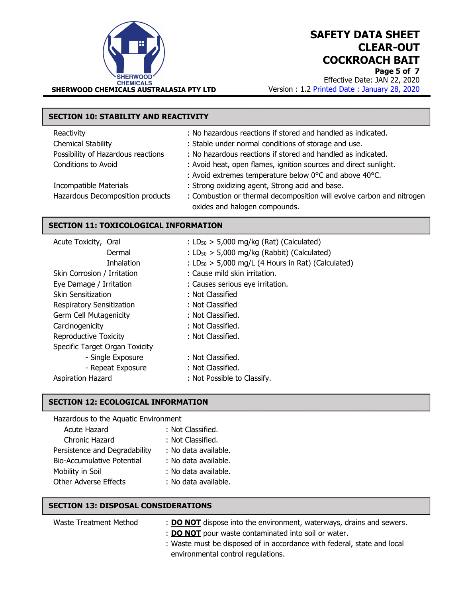

Page 5 of 7 Effective Date: JAN 22, 2020 Version : 1.2 Printed Date : January 28, 2020

# SECTION 10: STABILITY AND REACTIVITY

| Reactivity                         | : No hazardous reactions if stored and handled as indicated.          |
|------------------------------------|-----------------------------------------------------------------------|
| Chemical Stability                 | : Stable under normal conditions of storage and use.                  |
| Possibility of Hazardous reactions | : No hazardous reactions if stored and handled as indicated.          |
| <b>Conditions to Avoid</b>         | : Avoid heat, open flames, ignition sources and direct sunlight.      |
|                                    | : Avoid extremes temperature below 0°C and above 40°C.                |
| Incompatible Materials             | : Strong oxidizing agent, Strong acid and base.                       |
| Hazardous Decomposition products   | : Combustion or thermal decomposition will evolve carbon and nitrogen |
|                                    | oxides and halogen compounds.                                         |

### SECTION 11: TOXICOLOGICAL INFORMATION

| Acute Toxicity, Oral           | : $LD_{50}$ > 5,000 mg/kg (Rat) (Calculated)           |
|--------------------------------|--------------------------------------------------------|
| Dermal                         | : $LD_{50}$ > 5,000 mg/kg (Rabbit) (Calculated)        |
| <b>Inhalation</b>              | : $LD_{50}$ > 5,000 mg/L (4 Hours in Rat) (Calculated) |
| Skin Corrosion / Irritation    | : Cause mild skin irritation.                          |
| Eye Damage / Irritation        | : Causes serious eye irritation.                       |
| Skin Sensitization             | : Not Classified                                       |
| Respiratory Sensitization      | : Not Classified                                       |
| Germ Cell Mutagenicity         | : Not Classified.                                      |
| Carcinogenicity                | : Not Classified.                                      |
| Reproductive Toxicity          | : Not Classified.                                      |
| Specific Target Organ Toxicity |                                                        |
| - Single Exposure              | : Not Classified.                                      |
| - Repeat Exposure              | : Not Classified.                                      |
| Aspiration Hazard              | : Not Possible to Classify.                            |
|                                |                                                        |

#### SECTION 12: ECOLOGICAL INFORMATION

| Hazardous to the Aquatic Environment |                      |  |
|--------------------------------------|----------------------|--|
| Acute Hazard                         | : Not Classified.    |  |
| Chronic Hazard                       | : Not Classified.    |  |
| Persistence and Degradability        | : No data available. |  |
| <b>Bio-Accumulative Potential</b>    | : No data available. |  |
| Mobility in Soil                     | : No data available. |  |
| <b>Other Adverse Effects</b>         | : No data available. |  |

#### SECTION 13: DISPOSAL CONSIDERATIONS

| Waste Treatment Method | : DO NOT dispose into the environment, waterways, drains and sewers.    |
|------------------------|-------------------------------------------------------------------------|
|                        | : <b>DO NOT</b> pour waste contaminated into soil or water.             |
|                        | : Waste must be disposed of in accordance with federal, state and local |
|                        | environmental control regulations.                                      |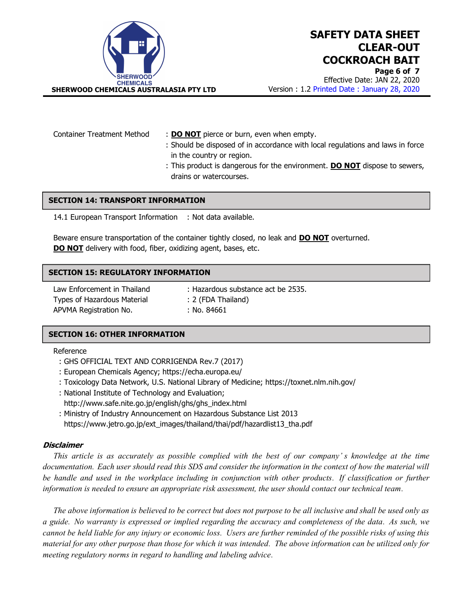

Effective Date: JAN 22, 2020 Version : 1.2 Printed Date : January 28, 2020

Container Treatment Method : DO NOT pierce or burn, even when empty.

- : Should be disposed of in accordance with local regulations and laws in force in the country or region.
- : This product is dangerous for the environment. **DO NOT** dispose to sewers, drains or watercourses.

#### SECTION 14: TRANSPORT INFORMATION

14.1 European Transport Information : Not data available.

Beware ensure transportation of the container tightly closed, no leak and **DO NOT** overturned. **DO NOT** delivery with food, fiber, oxidizing agent, bases, etc.

#### SECTION 15: REGULATORY INFORMATION

Law Enforcement in Thailand : Hazardous substance act be 2535. Types of Hazardous Material : 2 (FDA Thailand) APVMA Registration No. : No. 84661

#### SECTION 16: OTHER INFORMATION

#### Reference

- : GHS OFFICIAL TEXT AND CORRIGENDA Rev.7 (2017)
- : European Chemicals Agency; https://echa.europa.eu/
- : Toxicology Data Network, U.S. National Library of Medicine; https://toxnet.nlm.nih.gov/
- : National Institute of Technology and Evaluation;
- http://www.safe.nite.go.jp/english/ghs/ghs\_index.html
- : Ministry of Industry Announcement on Hazardous Substance List 2013 https://www.jetro.go.jp/ext\_images/thailand/thai/pdf/hazardlist13\_tha.pdf

#### **Disclaimer**

 This article is as accurately as possible complied with the best of our company' s knowledge at the time documentation. Each user should read this SDS and consider the information in the context of how the material will be handle and used in the workplace including in conjunction with other products. If classification or further information is needed to ensure an appropriate risk assessment, the user should contact our technical team.

 The above information is believed to be correct but does not purpose to be all inclusive and shall be used only as a guide. No warranty is expressed or implied regarding the accuracy and completeness of the data. As such, we cannot be held liable for any injury or economic loss. Users are further reminded of the possible risks of using this material for any other purpose than those for which it was intended. The above information can be utilized only for meeting regulatory norms in regard to handling and labeling advice.